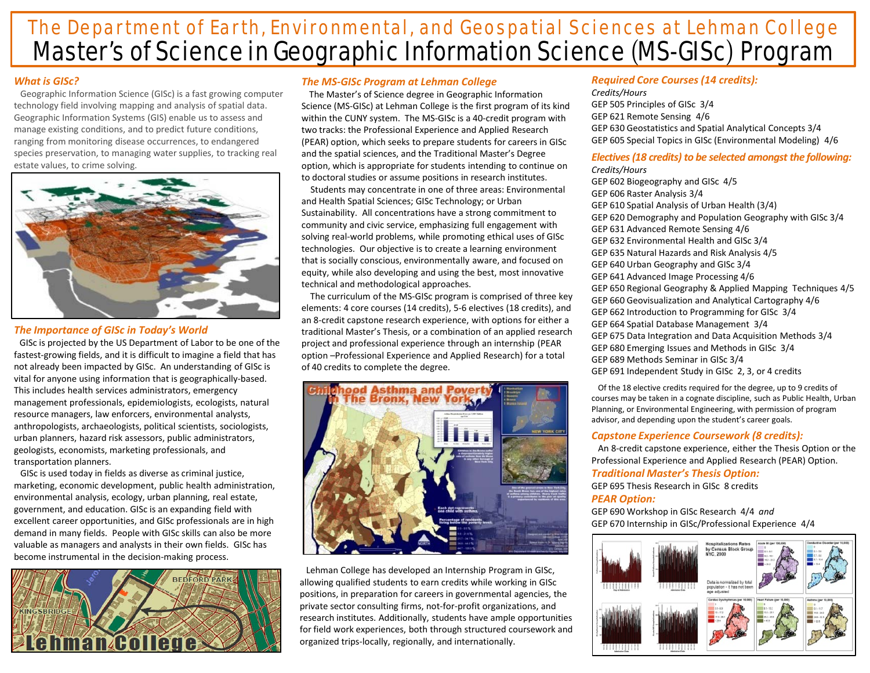# Master's of Science in Geographic Information Science (MS-GISc) Program The Department of Earth, Environmental, and Geospatial Sciences at Lehman College

# *What is GISc?*

Geographic Information Science (GISc) is a fast growing computer technology field involving mapping and analysis of spatial data. Geographic Information Systems (GIS) enable us to assess and manage existing conditions, and to predict future conditions, ranging from monitoring disease occurrences, to endangered species preservation, to managing water supplies, to tracking real estate values, to crime solving.



## *The Importance of GISc in Today's World*

GISc is projected by the US Department of Labor to be one of the fastest-growing fields, and it is difficult to imagine a field that has not already been impacted by GISc. An understanding of GISc is vital for anyone using information that is geographically-based. This includes health services administrators, emergency management professionals, epidemiologists, ecologists, natural resource managers, law enforcers, environmental analysts, anthropologists, archaeologists, political scientists, sociologists, urban planners, hazard risk assessors, public administrators, geologists, economists, marketing professionals, and transportation planners.

GISc is used today in fields as diverse as criminal justice, marketing, economic development, public health administration, environmental analysis, ecology, urban planning, real estate, government, and education. GISc is an expanding field with excellent career opportunities, and GISc professionals are in high demand in many fields. People with GISc skills can also be more valuable as managers and analysts in their own fields. GISc has become instrumental in the decision-making process.



# *The MS-GISc Program at Lehman College*

The Master's of Science degree in Geographic Information Science (MS-GISc) at Lehman College is the first program of its kind within the CUNY system. The MS-GISc is a 40-credit program with two tracks: the Professional Experience and Applied Research (PEAR) option, which seeks to prepare students for careers in GISc and the spatial sciences, and the Traditional Master's Degree option, which is appropriate for students intending to continue on to doctoral studies or assume positions in research institutes.

Students may concentrate in one of three areas: Environmental and Health Spatial Sciences; GISc Technology; or Urban Sustainability. All concentrations have a strong commitment to community and civic service, emphasizing full engagement with solving real-world problems, while promoting ethical uses of GISc technologies. Our objective is to create a learning environment that is socially conscious, environmentally aware, and focused on equity, while also developing and using the best, most innovative technical and methodological approaches.

The curriculum of the MS-GISc program is comprised of three key elements: 4 core courses (14 credits), 5-6 electives (18 credits), and an 8-credit capstone research experience, with options for either a traditional Master's Thesis, or a combination of an applied research project and professional experience through an internship (PEAR option –Professional Experience and Applied Research) for a total of 40 credits to complete the degree.



Lehman College has developed an Internship Program in GISc, allowing qualified students to earn credits while working in GISc positions, in preparation for careers in governmental agencies, the private sector consulting firms, not-for-profit organizations, and research institutes. Additionally, students have ample opportunities for field work experiences, both through structured coursework and organized trips-locally, regionally, and internationally.

#### *Required Core Courses (14 credits): Credits/Hours* GEP 505 Principles of GISc 3/4 GEP 621 Remote Sensing 4/6 GEP 630 Geostatistics and Spatial Analytical Concepts 3/4 GEP 605 Special Topics in GISc (Environmental Modeling) 4/6

# *Electives (18 credits) to be selected amongst the following:*

*Credits/Hours* GEP 602 Biogeography and GISc 4/5 GEP 606 Raster Analysis 3/4 GEP 610 Spatial Analysis of Urban Health (3/4) GEP 620 Demography and Population Geography with GISc 3/4 GEP 631 Advanced Remote Sensing 4/6 GEP 632 Environmental Health and GISc 3/4 GEP 635 Natural Hazards and Risk Analysis 4/5 GEP 640 Urban Geography and GISc 3/4 GEP 641 Advanced Image Processing 4/6 GEP 650 Regional Geography & Applied Mapping Techniques 4/5 GEP 660 Geovisualization and Analytical Cartography 4/6 GEP 662 Introduction to Programming for GISc 3/4 GEP 664 Spatial Database Management 3/4 GEP 675 Data Integration and Data Acquisition Methods 3/4 GEP 680 Emerging Issues and Methods in GISc 3/4 GEP 689 Methods Seminar in GISc 3/4 GEP 691 Independent Study in GISc 2, 3, or 4 credits

Of the 18 elective credits required for the degree, up to 9 credits of courses may be taken in a cognate discipline, such as Public Health, Urban Planning, or Environmental Engineering, with permission of program advisor, and depending upon the student's career goals.

# *Capstone Experience Coursework (8 credits):*

An 8-credit capstone experience, either the Thesis Option or the Professional Experience and Applied Research (PEAR) Option. *Traditional Master's Thesis Option:* GEP 695 Thesis Research in GISc 8 credits

# *PEAR Option:*

GEP 690 Workshop in GISc Research 4/4 *and* GEP 670 Internship in GISc/Professional Experience 4/4